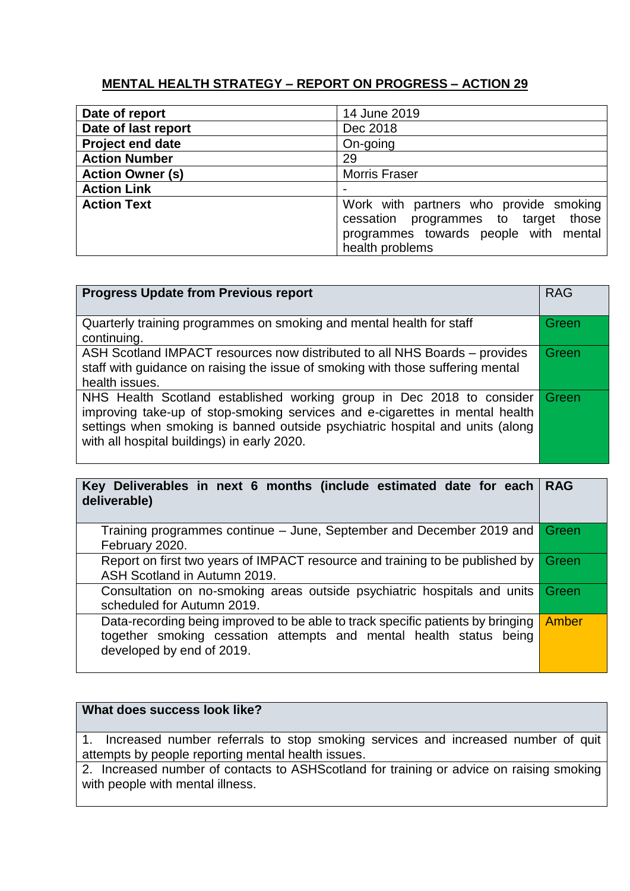## **MENTAL HEALTH STRATEGY – REPORT ON PROGRESS – ACTION 29**

| Date of report          | 14 June 2019                                                                                                                                  |
|-------------------------|-----------------------------------------------------------------------------------------------------------------------------------------------|
| Date of last report     | Dec 2018                                                                                                                                      |
| <b>Project end date</b> | On-going                                                                                                                                      |
| <b>Action Number</b>    | 29                                                                                                                                            |
| <b>Action Owner (s)</b> | <b>Morris Fraser</b>                                                                                                                          |
| <b>Action Link</b>      |                                                                                                                                               |
| <b>Action Text</b>      | Work with partners who provide smoking<br>cessation programmes to target<br>those<br>programmes towards people with mental<br>health problems |

| <b>Progress Update from Previous report</b>                                                                                                                                                                                                                                           | <b>RAG</b>   |
|---------------------------------------------------------------------------------------------------------------------------------------------------------------------------------------------------------------------------------------------------------------------------------------|--------------|
| Quarterly training programmes on smoking and mental health for staff<br>continuing.                                                                                                                                                                                                   | <b>Green</b> |
| ASH Scotland IMPACT resources now distributed to all NHS Boards – provides<br>staff with guidance on raising the issue of smoking with those suffering mental<br>health issues.                                                                                                       |              |
| NHS Health Scotland established working group in Dec 2018 to consider<br>improving take-up of stop-smoking services and e-cigarettes in mental health<br>settings when smoking is banned outside psychiatric hospital and units (along<br>with all hospital buildings) in early 2020. |              |

| Key Deliverables in next 6 months (include estimated date for each<br>deliverable)                                                                                                 | <b>RAG</b> |
|------------------------------------------------------------------------------------------------------------------------------------------------------------------------------------|------------|
| Training programmes continue – June, September and December 2019 and<br>February 2020.                                                                                             | Green      |
| Report on first two years of IMPACT resource and training to be published by<br>ASH Scotland in Autumn 2019.                                                                       | Green      |
| Consultation on no-smoking areas outside psychiatric hospitals and units<br>scheduled for Autumn 2019.                                                                             | Green      |
| Data-recording being improved to be able to track specific patients by bringing<br>together smoking cessation attempts and mental health status being<br>developed by end of 2019. | Amber      |

## **What does success look like?**

1. Increased number referrals to stop smoking services and increased number of quit attempts by people reporting mental health issues.

2. Increased number of contacts to ASHScotland for training or advice on raising smoking with people with mental illness.